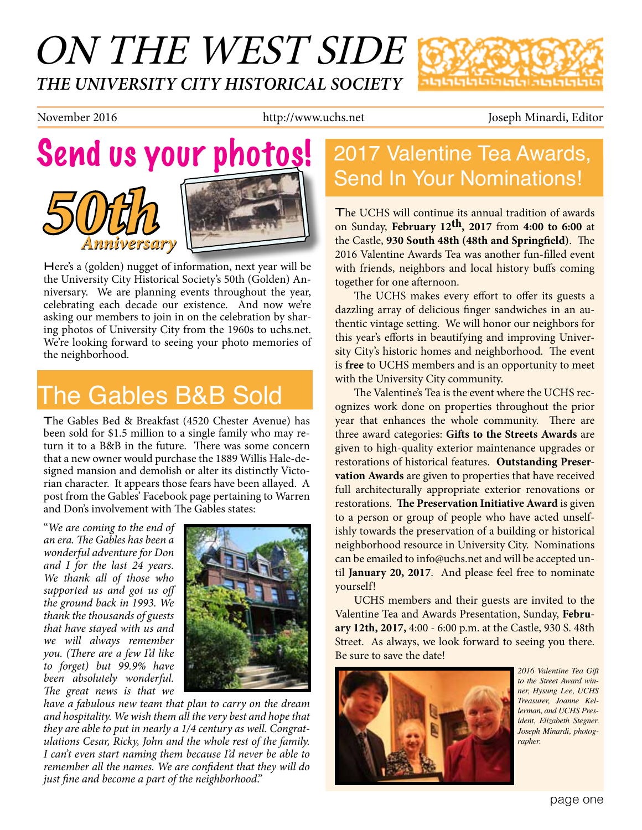# ON THE WEST SIDE *THE UNIVERSITY CITY HISTORICAL SOCIETY*



November 2016 **http://www.uchs.net** Joseph Minardi, Editor

# *Anniversary 50th Anniversary* Send us your photos!

Here's a (golden) nugget of information, next year will be the University City Historical Society's 50th (Golden) Anniversary. We are planning events throughout the year, celebrating each decade our existence. And now we're asking our members to join in on the celebration by sharing photos of University City from the 1960s to uchs.net. We're looking forward to seeing your photo memories of the neighborhood.

# The Gables B&B Sold

The Gables Bed & Breakfast (4520 Chester Avenue) has been sold for \$1.5 million to a single family who may return it to a B&B in the future. There was some concern that a new owner would purchase the 1889 Willis Hale-designed mansion and demolish or alter its distinctly Victorian character. It appears those fears have been allayed. A post from the Gables' Facebook page pertaining to Warren and Don's involvement with The Gables states:

"*We are coming to the end of an era. The Gables has been a wonderful adventure for Don and I for the last 24 years. We thank all of those who supported us and got us off the ground back in 1993. We thank the thousands of guests that have stayed with us and we will always remember you. (There are a few I'd like to forget) but 99.9% have been absolutely wonderful. The great news is that we* 



*have a fabulous new team that plan to carry on the dream and hospitality. We wish them all the very best and hope that they are able to put in nearly a 1/4 century as well. Congratulations Cesar, Ricky, John and the whole rest of the family. I can't even start naming them because I'd never be able to remember all the names. We are confident that they will do just fine and become a part of the neighborhood*."

## 2017 Valentine Tea Awards, Send In Your Nominations!

ոելելելելելելելելելելելել

The UCHS will continue its annual tradition of awards on Sunday, **February 12th, 2017** from **4:00 to 6:00** at the Castle, **930 South 48th (48th and Springfield)**. The 2016 Valentine Awards Tea was another fun-filled event with friends, neighbors and local history buffs coming together for one afternoon.

The UCHS makes every effort to offer its guests a dazzling array of delicious finger sandwiches in an authentic vintage setting. We will honor our neighbors for this year's efforts in beautifying and improving University City's historic homes and neighborhood. The event is **free** to UCHS members and is an opportunity to meet with the University City community.

The Valentine's Tea is the event where the UCHS recognizes work done on properties throughout the prior year that enhances the whole community. There are three award categories: **Gifts to the Streets Awards** are given to high-quality exterior maintenance upgrades or restorations of historical features. **Outstanding Preservation Awards** are given to properties that have received full architecturally appropriate exterior renovations or restorations. **The Preservation Initiative Award** is given to a person or group of people who have acted unselfishly towards the preservation of a building or historical neighborhood resource in University City. Nominations can be emailed to info@uchs.net and will be accepted until **January 20, 2017**. And please feel free to nominate yourself!

UCHS members and their guests are invited to the Valentine Tea and Awards Presentation, Sunday, **February 12th, 2017,** 4:00 - 6:00 p.m. at the Castle, 930 S. 48th Street. As always, we look forward to seeing you there. Be sure to save the date!



*2016 Valentine Tea Gift to the Street Award winner, Hysung Lee, UCHS Treasurer, Joanne Kellerman, and UCHS President, Elizabeth Stegner. Joseph Minardi, photographer.*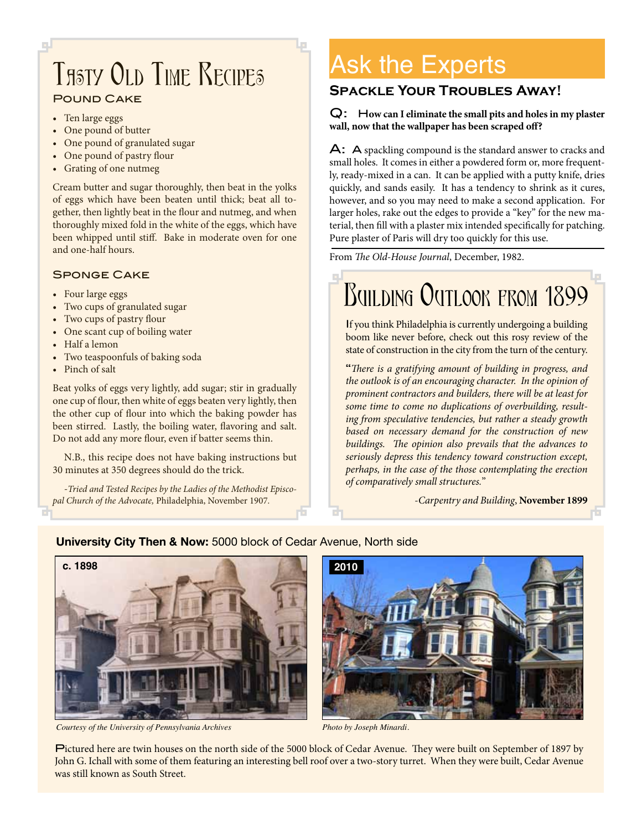### Pound Cake Tasty Old Time Recipes

- Ten large eggs
- One pound of butter
- One pound of granulated sugar
- One pound of pastry flour
- Grating of one nutmeg

Cream butter and sugar thoroughly, then beat in the yolks of eggs which have been beaten until thick; beat all together, then lightly beat in the flour and nutmeg, and when thoroughly mixed fold in the white of the eggs, which have been whipped until stiff. Bake in moderate oven for one and one-half hours.

#### Sponge Cake

- Four large eggs
- Two cups of granulated sugar
- Two cups of pastry flour
- One scant cup of boiling water
- Half a lemon
- Two teaspoonfuls of baking soda
- Pinch of salt

Beat yolks of eggs very lightly, add sugar; stir in gradually one cup of flour, then white of eggs beaten very lightly, then the other cup of flour into which the baking powder has been stirred. Lastly, the boiling water, flavoring and salt. Do not add any more flour, even if batter seems thin.

N.B., this recipe does not have baking instructions but 30 minutes at 350 degrees should do the trick.

*-Tried and Tested Recipes by the Ladies of the Methodist Episcopal Church of the Advocate,* Philadelphia, November 1907*.*

# Ask the Experts

#### **Spackle Your Troubles Away!**

#### Q: H**ow can I eliminate the small pits and holes in my plaster wall, now that the wallpaper has been scraped off?**

A: A spackling compound is the standard answer to cracks and small holes. It comes in either a powdered form or, more frequently, ready-mixed in a can. It can be applied with a putty knife, dries quickly, and sands easily. It has a tendency to shrink as it cures, however, and so you may need to make a second application. For larger holes, rake out the edges to provide a "key" for the new material, then fill with a plaster mix intended specifically for patching. Pure plaster of Paris will dry too quickly for this use.

From *The Old-House Journal*, December, 1982.

#### o. BUILDING OUTLOOK FROM 1899

If you think Philadelphia is currently undergoing a building boom like never before, check out this rosy review of the state of construction in the city from the turn of the century.

"*There is a gratifying amount of building in progress, and the outlook is of an encouraging character. In the opinion of prominent contractors and builders, there will be at least for some time to come no duplications of overbuilding, resulting from speculative tendencies, but rather a steady growth based on necessary demand for the construction of new buildings. The opinion also prevails that the advances to seriously depress this tendency toward construction except, perhaps, in the case of the those contemplating the erection of comparatively small structures.*"

-*Carpentry and Building*, **November 1899**

# **c. 1898**

**University City Then & Now:** 5000 block of Cedar Avenue, North side

*Courtesy of the University of Pennsylvania Archives Photo by Joseph Minardi.*



Pictured here are twin houses on the north side of the 5000 block of Cedar Avenue. They were built on September of 1897 by John G. Ichall with some of them featuring an interesting bell roof over a two-story turret. When they were built, Cedar Avenue was still known as South Street.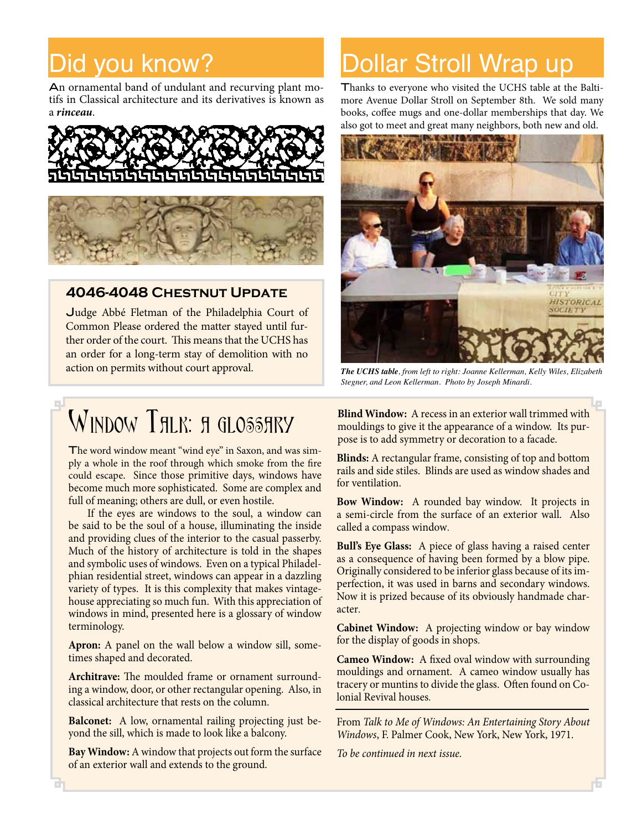# Did you know?

An ornamental band of undulant and recurving plant motifs in Classical architecture and its derivatives is known as a *rinceau*.





#### **4046-4048 Chestnut Update**

Judge Abbé Fletman of the Philadelphia Court of Common Please ordered the matter stayed until further order of the court. This means that the UCHS has an order for a long-term stay of demolition with no action on permits without court approval.

# WINDOW THLK: A GLOSSHRY

The word window meant "wind eye" in Saxon, and was simply a whole in the roof through which smoke from the fire could escape. Since those primitive days, windows have become much more sophisticated. Some are complex and full of meaning; others are dull, or even hostile.

If the eyes are windows to the soul, a window can be said to be the soul of a house, illuminating the inside and providing clues of the interior to the casual passerby. Much of the history of architecture is told in the shapes and symbolic uses of windows. Even on a typical Philadelphian residential street, windows can appear in a dazzling variety of types. It is this complexity that makes vintagehouse appreciating so much fun. With this appreciation of windows in mind, presented here is a glossary of window terminology.

**Apron:** A panel on the wall below a window sill, sometimes shaped and decorated.

**Architrave:** The moulded frame or ornament surrounding a window, door, or other rectangular opening. Also, in classical architecture that rests on the column.

**Balconet:** A low, ornamental railing projecting just beyond the sill, which is made to look like a balcony.

**Bay Window:** A window that projects out form the surface of an exterior wall and extends to the ground.

# Dollar Stroll Wrap up

Thanks to everyone who visited the UCHS table at the Baltimore Avenue Dollar Stroll on September 8th. We sold many books, coffee mugs and one-dollar memberships that day. We also got to meet and great many neighbors, both new and old.



*The UCHS table, from left to right: Joanne Kellerman, Kelly Wiles, Elizabeth Stegner, and Leon Kellerman. Photo by Joseph Minardi.*

**Blind Window:** A recess in an exterior wall trimmed with mouldings to give it the appearance of a window. Its purpose is to add symmetry or decoration to a facade.

**Blinds:** A rectangular frame, consisting of top and bottom rails and side stiles. Blinds are used as window shades and for ventilation.

**Bow Window:** A rounded bay window. It projects in a semi-circle from the surface of an exterior wall. Also called a compass window.

**Bull's Eye Glass:** A piece of glass having a raised center as a consequence of having been formed by a blow pipe. Originally considered to be inferior glass because of its imperfection, it was used in barns and secondary windows. Now it is prized because of its obviously handmade character.

**Cabinet Window:** A projecting window or bay window for the display of goods in shops.

**Cameo Window:** A fixed oval window with surrounding mouldings and ornament. A cameo window usually has tracery or muntins to divide the glass. Often found on Colonial Revival houses.

From *Talk to Me of Windows: An Entertaining Story About Windows*, F. Palmer Cook, New York, New York, 1971.

*To be continued in next issue.*